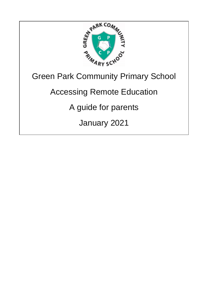

# Green Park Community Primary School

## Accessing Remote Education

## A guide for parents

January 2021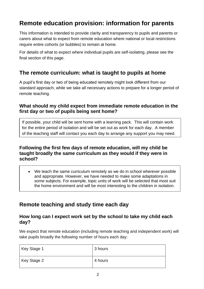## **Remote education provision: information for parents**

This information is intended to provide clarity and transparency to pupils and parents or carers about what to expect from remote education where national or local restrictions require entire cohorts (or bubbles) to remain at home.

For details of what to expect where individual pupils are self-isolating, please see the final section of this page.

### **The remote curriculum: what is taught to pupils at home**

A pupil's first day or two of being educated remotely might look different from our standard approach, while we take all necessary actions to prepare for a longer period of remote teaching.

#### **What should my child expect from immediate remote education in the first day or two of pupils being sent home?**

If possible, your child will be sent home with a learning pack. This will contain work for the entire period of isolation and will be set out as work for each day. A member of the teaching staff will contact you each day to arrange any support you may need.

#### **Following the first few days of remote education, will my child be taught broadly the same curriculum as they would if they were in school?**

• We teach the same curriculum remotely as we do in school wherever possible and appropriate. However, we have needed to make some adaptations in some subjects. For example, topic units of work will be selected that most suit the home environment and will be most interesting to the children in isolation.

## **Remote teaching and study time each day**

#### **How long can I expect work set by the school to take my child each day?**

We expect that remote education (including remote teaching and independent work) will take pupils broadly the following number of hours each day:

| Key Stage 1 | 3 hours |
|-------------|---------|
| Key Stage 2 | 4 hours |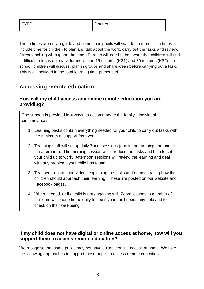These times are only a guide and sometimes pupils will want to do more. The times include time for children to plan and talk about the work, carry out the tasks and review. Direct teaching will support the time. Parents will need to be aware that children will find it difficult to focus on a task for more than 15 minutes (KS1) and 30 minutes (KS2). In school, children will discuss, plan in groups and share ideas before carrying out a task. This is all included in the total learning time prescribed.

## **Accessing remote education**

#### **How will my child access any online remote education you are providing?**

The support is provided in 4 ways, to accommodate the family's individual circumstances.

- 1. Learning packs contain everything needed for your child to carry out tasks with the minimum of support from you.
- 2. Teaching staff will set up daily Zoom sessions (one in the morning and one in the afternoon). The morning session will introduce the tasks and help to set your child up to work. Afternoon sessions will review the learning and deal with any problems your child has found.
- 3. Teachers record short videos explaining the tasks and demonstrating how the children should approach their learning. These are posted on our website and Facebook pages.
- 4. When needed, or if a child is not engaging with Zoom lessons, a member of the team will phone home daily to see if your child needs any help and to check on their well-being.

#### **If my child does not have digital or online access at home, how will you support them to access remote education?**

We recognise that some pupils may not have suitable online access at home. We take the following approaches to support those pupils to access remote education: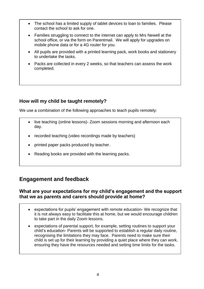- The school has a limited supply of tablet devices to loan to families. Please contact the school to ask for one.
- Families struggling to connect to the internet can apply to Mrs Newell at the school office, or via the form on Parentmail. We will apply for upgrades on mobile phone data or for a 4G router for you.
- All pupils are provided with a printed learning pack, work books and stationery to undertake the tasks.
- Packs are collected in every 2 weeks, so that teachers can assess the work completed.

#### **How will my child be taught remotely?**

We use a combination of the following approaches to teach pupils remotely:

- live teaching (online lessons) Zoom sessions morning and afternoon each day.
- recorded teaching (video recordings made by teachers)
- printed paper packs produced by teacher.
- Reading books are provided with the learning packs.

## **Engagement and feedback**

#### **What are your expectations for my child's engagement and the support that we as parents and carers should provide at home?**

- expectations for pupils' engagement with remote education- We recognize that it is not always easy to facilitate this at home, but we would encourage children to take part in the daily Zoom lessons.
- expectations of parental support, for example, setting routines to support your child's education- Parents will be supported to establish a regular daily routine, recognising the limitations they may face. Parents need to make sure their child is set up for their learning by providing a quiet place where they can work, ensuring they have the resources needed and setting time limits for the tasks.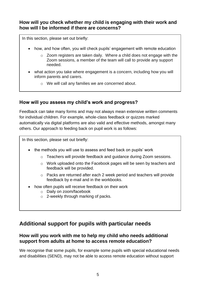#### **How will you check whether my child is engaging with their work and how will I be informed if there are concerns?**

In this section, please set out briefly:

- how, and how often, you will check pupils' engagement with remote education
	- o Zoom registers are taken daily. Where a child does not engage with the Zoom sessions, a member of the team will call to provide any support needed.
- what action you take where engagement is a concern, including how you will inform parents and carers.
	- o We will call any families we are concerned about.

#### **How will you assess my child's work and progress?**

Feedback can take many forms and may not always mean extensive written comments for individual children. For example, whole-class feedback or quizzes marked automatically via digital platforms are also valid and effective methods, amongst many others. Our approach to feeding back on pupil work is as follows:

In this section, please set out briefly:

- the methods you will use to assess and feed back on pupils' work
	- o Teachers will provide feedback and guidance during Zoom sessions.
	- o Work uploaded onto the Facebook pages will be seen by teachers and feedback will be provided.
	- o Packs are returned after each 2 week period and teachers will provide feedback by e-mail and in the workbooks.
- how often pupils will receive feedback on their work
	- o Daily on zoom/facebook
	- o 2-weekly through marking of packs.

### **Additional support for pupils with particular needs**

#### **How will you work with me to help my child who needs additional support from adults at home to access remote education?**

We recognise that some pupils, for example some pupils with special educational needs and disabilities (SEND), may not be able to access remote education without support